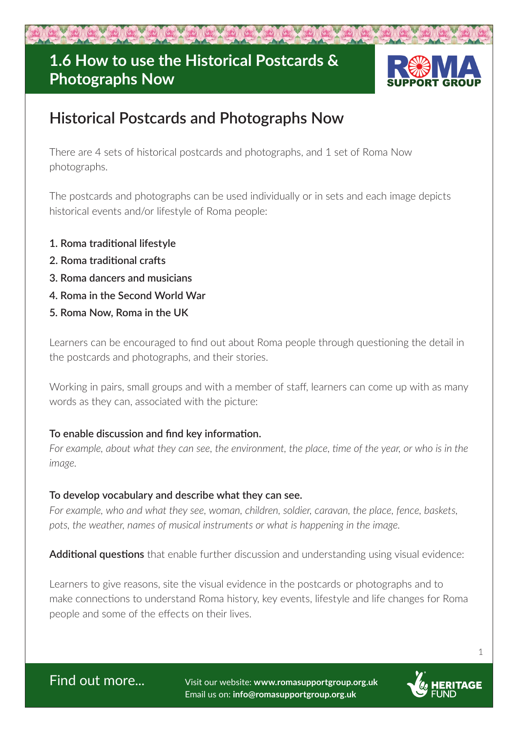# **1.6 How to use the Historical Postcards & Photographs Now**



## **Historical Postcards and Photographs Now**

There are 4 sets of historical postcards and photographs, and 1 set of Roma Now photographs.

The postcards and photographs can be used individually or in sets and each image depicts historical events and/or lifestyle of Roma people:

- **1. Roma traditional lifestyle**
- **2. Roma traditional crafts**
- **3. Roma dancers and musicians**
- **4. Roma in the Second World War**
- **5. Roma Now, Roma in the UK**

Learners can be encouraged to find out about Roma people through questioning the detail in the postcards and photographs, and their stories.

Working in pairs, small groups and with a member of staff, learners can come up with as many words as they can, associated with the picture:

## **To enable discussion and find key information.**

*For example, about what they can see, the environment, the place, time of the year, or who is in the image.*

### **To develop vocabulary and describe what they can see.**

*For example, who and what they see, woman, children, soldier, caravan, the place, fence, baskets, pots, the weather, names of musical instruments or what is happening in the image.*

**Additional questions** that enable further discussion and understanding using visual evidence:

Learners to give reasons, site the visual evidence in the postcards or photographs and to make connections to understand Roma history, key events, lifestyle and life changes for Roma people and some of the effects on their lives.

Find out more... Visit our website: **www.romasupportgroup.org.uk** Email us on: **info@romasupportgroup.org.uk**



1